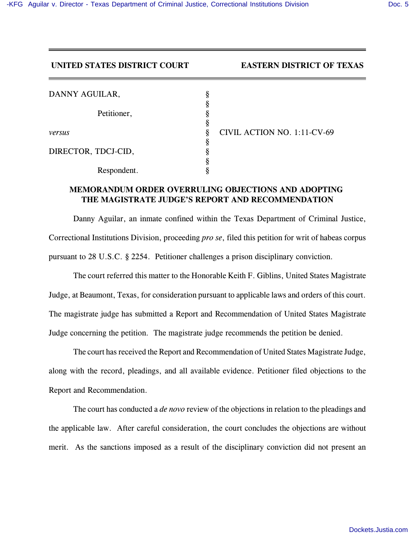## **UNITED STATES DISTRICT COURT EASTERN DISTRICT OF TEXAS**

| DANNY AGUILAR,      |                             |
|---------------------|-----------------------------|
|                     |                             |
| Petitioner,         |                             |
|                     |                             |
| versus              | CIVIL ACTION NO. 1:11-CV-69 |
|                     |                             |
| DIRECTOR, TDCJ-CID, |                             |
|                     |                             |
| Respondent.         |                             |

## **MEMORANDUM ORDER OVERRULING OBJECTIONS AND ADOPTING THE MAGISTRATE JUDGE'S REPORT AND RECOMMENDATION**

Danny Aguilar, an inmate confined within the Texas Department of Criminal Justice, Correctional Institutions Division, proceeding *pro se*, filed this petition for writ of habeas corpus pursuant to 28 U.S.C. § 2254. Petitioner challenges a prison disciplinary conviction.

The court referred this matter to the Honorable Keith F. Giblins, United States Magistrate Judge, at Beaumont, Texas, for consideration pursuant to applicable laws and orders of this court. The magistrate judge has submitted a Report and Recommendation of United States Magistrate Judge concerning the petition. The magistrate judge recommends the petition be denied.

The court has received the Report and Recommendation of United States Magistrate Judge, along with the record, pleadings, and all available evidence. Petitioner filed objections to the Report and Recommendation.

The court has conducted a *de novo* review of the objections in relation to the pleadings and the applicable law. After careful consideration, the court concludes the objections are without merit. As the sanctions imposed as a result of the disciplinary conviction did not present an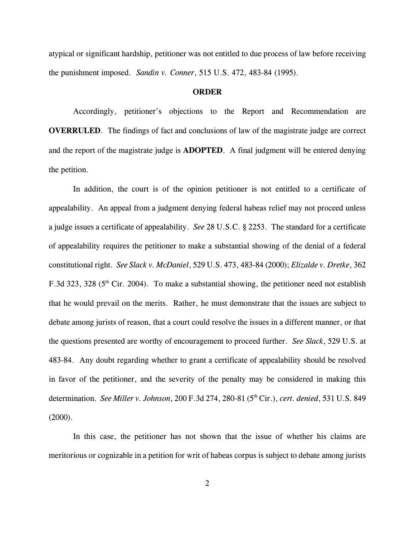atypical or significant hardship, petitioner was not entitled to due process of law before receiving the punishment imposed. *Sandin v. Conner*, 515 U.S. 472, 483-84 (1995).

## **ORDER**

Accordingly, petitioner's objections to the Report and Recommendation are **OVERRULED.** The findings of fact and conclusions of law of the magistrate judge are correct and the report of the magistrate judge is **ADOPTED**. A final judgment will be entered denying the petition.

In addition, the court is of the opinion petitioner is not entitled to a certificate of appealability. An appeal from a judgment denying federal habeas relief may not proceed unless a judge issues a certificate of appealability. *See* 28 U.S.C. § 2253. The standard for a certificate of appealability requires the petitioner to make a substantial showing of the denial of a federal constitutional right. *See Slack v. McDaniel*, 529 U.S. 473, 483-84 (2000); *Elizalde v. Dretke*, 362 F.3d 323, 328 ( $5<sup>th</sup>$  Cir. 2004). To make a substantial showing, the petitioner need not establish that he would prevail on the merits. Rather, he must demonstrate that the issues are subject to debate among jurists of reason, that a court could resolve the issues in a different manner, or that the questions presented are worthy of encouragement to proceed further. *See Slack*, 529 U.S. at 483-84. Any doubt regarding whether to grant a certificate of appealability should be resolved in favor of the petitioner, and the severity of the penalty may be considered in making this determination. *See Miller v. Johnson*, 200 F.3d 274, 280-81 (5<sup>th</sup> Cir.), *cert. denied*, 531 U.S. 849  $(2000)$ .

In this case, the petitioner has not shown that the issue of whether his claims are meritorious or cognizable in a petition for writ of habeas corpus is subject to debate among jurists